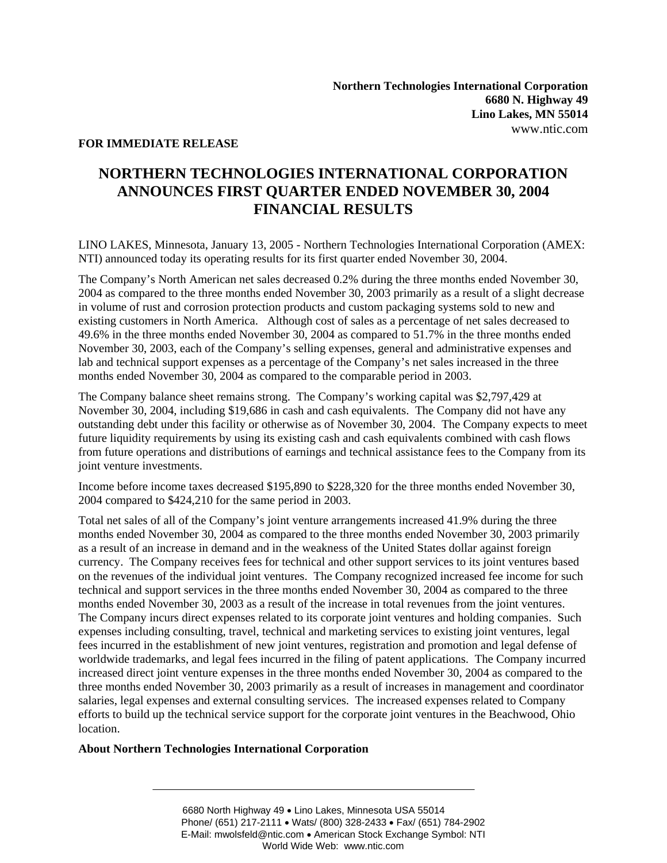## **FOR IMMEDIATE RELEASE**

## **NORTHERN TECHNOLOGIES INTERNATIONAL CORPORATION ANNOUNCES FIRST QUARTER ENDED NOVEMBER 30, 2004 FINANCIAL RESULTS**

LINO LAKES, Minnesota, January 13, 2005 - Northern Technologies International Corporation (AMEX: NTI) announced today its operating results for its first quarter ended November 30, 2004.

The Company's North American net sales decreased 0.2% during the three months ended November 30, 2004 as compared to the three months ended November 30, 2003 primarily as a result of a slight decrease in volume of rust and corrosion protection products and custom packaging systems sold to new and existing customers in North America. Although cost of sales as a percentage of net sales decreased to 49.6% in the three months ended November 30, 2004 as compared to 51.7% in the three months ended November 30, 2003, each of the Company's selling expenses, general and administrative expenses and lab and technical support expenses as a percentage of the Company's net sales increased in the three months ended November 30, 2004 as compared to the comparable period in 2003.

The Company balance sheet remains strong. The Company's working capital was \$2,797,429 at November 30, 2004, including \$19,686 in cash and cash equivalents. The Company did not have any outstanding debt under this facility or otherwise as of November 30, 2004. The Company expects to meet future liquidity requirements by using its existing cash and cash equivalents combined with cash flows from future operations and distributions of earnings and technical assistance fees to the Company from its joint venture investments.

Income before income taxes decreased \$195,890 to \$228,320 for the three months ended November 30, 2004 compared to \$424,210 for the same period in 2003.

Total net sales of all of the Company's joint venture arrangements increased 41.9% during the three months ended November 30, 2004 as compared to the three months ended November 30, 2003 primarily as a result of an increase in demand and in the weakness of the United States dollar against foreign currency. The Company receives fees for technical and other support services to its joint ventures based on the revenues of the individual joint ventures. The Company recognized increased fee income for such technical and support services in the three months ended November 30, 2004 as compared to the three months ended November 30, 2003 as a result of the increase in total revenues from the joint ventures. The Company incurs direct expenses related to its corporate joint ventures and holding companies. Such expenses including consulting, travel, technical and marketing services to existing joint ventures, legal fees incurred in the establishment of new joint ventures, registration and promotion and legal defense of worldwide trademarks, and legal fees incurred in the filing of patent applications. The Company incurred increased direct joint venture expenses in the three months ended November 30, 2004 as compared to the three months ended November 30, 2003 primarily as a result of increases in management and coordinator salaries, legal expenses and external consulting services. The increased expenses related to Company efforts to build up the technical service support for the corporate joint ventures in the Beachwood, Ohio location.

## **About Northern Technologies International Corporation**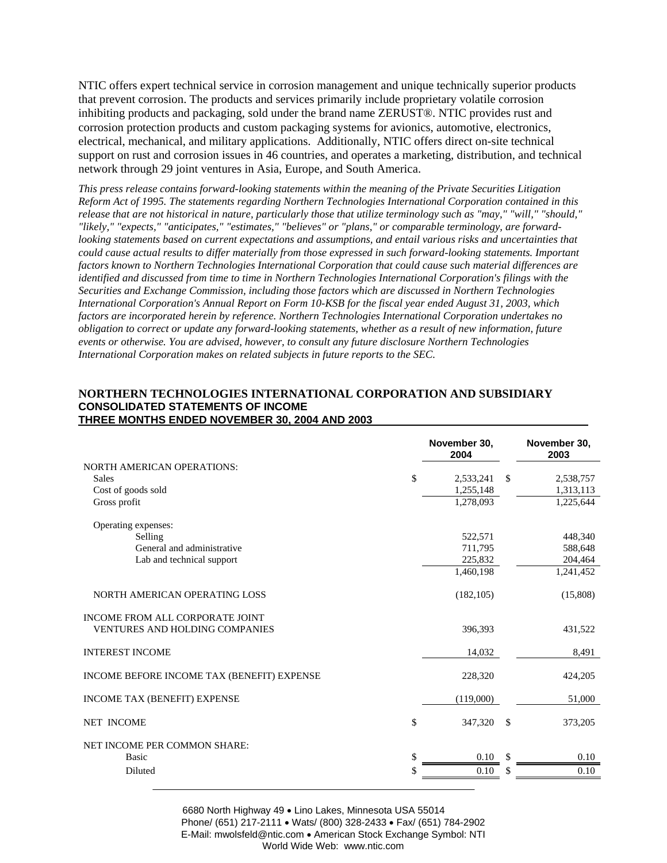NTIC offers expert technical service in corrosion management and unique technically superior products that prevent corrosion. The products and services primarily include proprietary volatile corrosion inhibiting products and packaging, sold under the brand name ZERUST®. NTIC provides rust and corrosion protection products and custom packaging systems for avionics, automotive, electronics, electrical, mechanical, and military applications. Additionally, NTIC offers direct on-site technical support on rust and corrosion issues in 46 countries, and operates a marketing, distribution, and technical network through 29 joint ventures in Asia, Europe, and South America.

*This press release contains forward-looking statements within the meaning of the Private Securities Litigation Reform Act of 1995. The statements regarding Northern Technologies International Corporation contained in this release that are not historical in nature, particularly those that utilize terminology such as "may," "will," "should," "likely," "expects," "anticipates," "estimates," "believes" or "plans," or comparable terminology, are forwardlooking statements based on current expectations and assumptions, and entail various risks and uncertainties that could cause actual results to differ materially from those expressed in such forward-looking statements. Important factors known to Northern Technologies International Corporation that could cause such material differences are identified and discussed from time to time in Northern Technologies International Corporation's filings with the Securities and Exchange Commission, including those factors which are discussed in Northern Technologies International Corporation's Annual Report on Form 10-KSB for the fiscal year ended August 31, 2003, which factors are incorporated herein by reference. Northern Technologies International Corporation undertakes no obligation to correct or update any forward-looking statements, whether as a result of new information, future events or otherwise. You are advised, however, to consult any future disclosure Northern Technologies International Corporation makes on related subjects in future reports to the SEC.* 

## **NORTHERN TECHNOLOGIES INTERNATIONAL CORPORATION AND SUBSIDIARY CONSOLIDATED STATEMENTS OF INCOME THREE MONTHS ENDED NOVEMBER 30, 2004 AND 2003**

|                                            | November 30,<br>2004 |              | November 30,<br>2003 |
|--------------------------------------------|----------------------|--------------|----------------------|
| <b>NORTH AMERICAN OPERATIONS:</b>          |                      |              |                      |
| \$<br>Sales                                | 2,533,241            | $\mathbb{S}$ | 2,538,757            |
| Cost of goods sold                         | 1,255,148            |              | 1,313,113            |
| Gross profit                               | 1,278,093            |              | 1,225,644            |
| Operating expenses:                        |                      |              |                      |
| Selling                                    | 522,571              |              | 448,340              |
| General and administrative                 | 711,795              |              | 588,648              |
| Lab and technical support                  | 225,832              |              | 204,464              |
|                                            | 1,460,198            |              | 1,241,452            |
| NORTH AMERICAN OPERATING LOSS              | (182, 105)           |              | (15,808)             |
| <b>INCOME FROM ALL CORPORATE JOINT</b>     |                      |              |                      |
| <b>VENTURES AND HOLDING COMPANIES</b>      | 396.393              |              | 431,522              |
| <b>INTEREST INCOME</b>                     | 14,032               |              | 8,491                |
| INCOME BEFORE INCOME TAX (BENEFIT) EXPENSE | 228,320              |              | 424,205              |
| <b>INCOME TAX (BENEFIT) EXPENSE</b>        | (119,000)            |              | 51,000               |
| \$<br><b>NET INCOME</b>                    | 347,320              | $\mathbb{S}$ | 373,205              |
| NET INCOME PER COMMON SHARE:               |                      |              |                      |
| \$<br><b>Basic</b>                         | 0.10                 |              | 0.10                 |
| Diluted                                    | 0.10                 | S            | 0.10                 |

6680 North Highway 49 • Lino Lakes, Minnesota USA 55014 Phone/ (651) 217-2111 • Wats/ (800) 328-2433 • Fax/ (651) 784-2902 E-Mail: mwolsfeld@ntic.com • American Stock Exchange Symbol: NTI World Wide Web: www.ntic.com